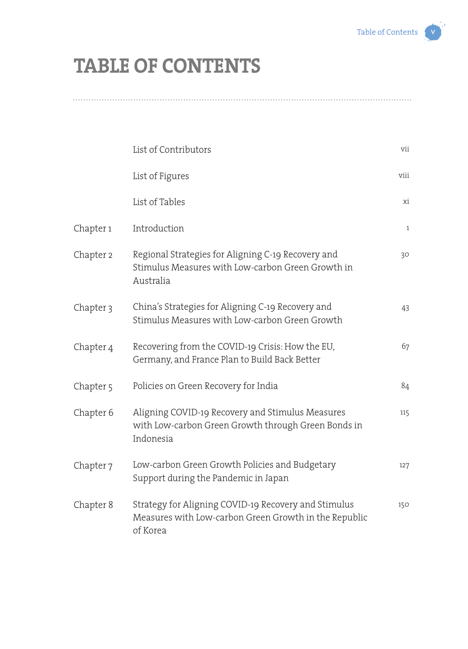## **TABLE OF CONTENTS**

|                      | List of Contributors                                                                                                      | vii             |
|----------------------|---------------------------------------------------------------------------------------------------------------------------|-----------------|
|                      | List of Figures                                                                                                           | viii            |
|                      | List of Tables                                                                                                            | xi              |
| Chapter 1            | Introduction                                                                                                              | $\mathbf{1}$    |
| Chapter 2            | Regional Strategies for Aligning C-19 Recovery and<br>Stimulus Measures with Low-carbon Green Growth in<br>Australia      | 30 <sup>°</sup> |
| Chapter <sub>3</sub> | China's Strategies for Aligning C-19 Recovery and<br>Stimulus Measures with Low-carbon Green Growth                       | 43              |
| Chapter 4            | Recovering from the COVID-19 Crisis: How the EU,<br>Germany, and France Plan to Build Back Better                         | 67              |
| Chapter <sub>5</sub> | Policies on Green Recovery for India                                                                                      | 84              |
| Chapter 6            | Aligning COVID-19 Recovery and Stimulus Measures<br>with Low-carbon Green Growth through Green Bonds in<br>Indonesia      | 115             |
| Chapter <sub>7</sub> | Low-carbon Green Growth Policies and Budgetary<br>Support during the Pandemic in Japan                                    | 127             |
| Chapter 8            | Strategy for Aligning COVID-19 Recovery and Stimulus<br>Measures with Low-carbon Green Growth in the Republic<br>of Korea | 150             |